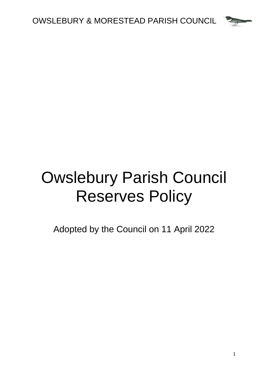

# Owslebury Parish Council Reserves Policy

Adopted by the Council on 11 April 2022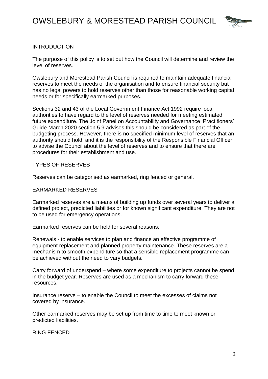

## INTRODUCTION

The purpose of this policy is to set out how the Council will determine and review the level of reserves.

Owslebury and Morestead Parish Council is required to maintain adequate financial reserves to meet the needs of the organisation and to ensure financial security but has no legal powers to hold reserves other than those for reasonable working capital needs or for specifically earmarked purposes.

Sections 32 and 43 of the Local Government Finance Act 1992 require local authorities to have regard to the level of reserves needed for meeting estimated future expenditure. The Joint Panel on Accountability and Governance 'Practitioners' Guide March 2020 section 5.9 advises this should be considered as part of the budgeting process. However, there is no specified minimum level of reserves that an authority should hold, and it is the responsibility of the Responsible Financial Officer to advise the Council about the level of reserves and to ensure that there are procedures for their establishment and use.

### TYPES OF RESERVES

Reserves can be categorised as earmarked, ring fenced or general.

#### EARMARKED RESERVES

Earmarked reserves are a means of building up funds over several years to deliver a defined project, predicted liabilities or for known significant expenditure. They are not to be used for emergency operations.

Earmarked reserves can be held for several reasons:

Renewals - to enable services to plan and finance an effective programme of equipment replacement and planned property maintenance. These reserves are a mechanism to smooth expenditure so that a sensible replacement programme can be achieved without the need to vary budgets.

Carry forward of underspend – where some expenditure to projects cannot be spend in the budget year. Reserves are used as a mechanism to carry forward these resources.

Insurance reserve – to enable the Council to meet the excesses of claims not covered by insurance.

Other earmarked reserves may be set up from time to time to meet known or predicted liabilities.

RING FENCED